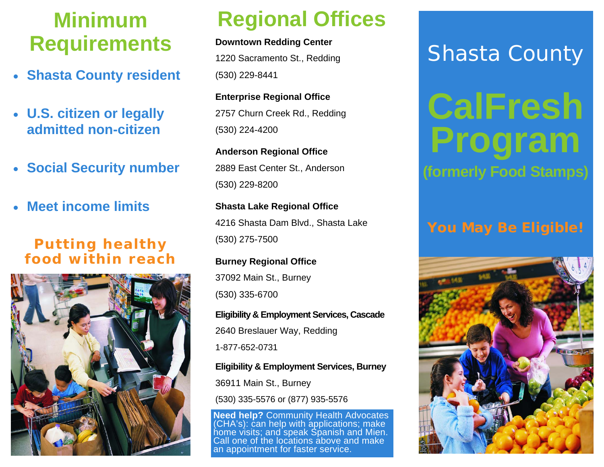### **Minimum Requirements**

- **Shasta County resident**
- **U.S. citizen or legally admitted non-citizen**
- **Social Security number**
- **Meet income limits**

### *Putting healthy food within reach*



## **Regional Offices**

**Downtown Redding Center**  1220 Sacramento St., Redding

(530) 229-8441

**Enterprise Regional Office**  2757 Churn Creek Rd., Redding (530) 224-4200

**Anderson Regional Office**  2889 East Center St., Anderson (530) 229-8200

**Shasta Lake Regional Office**  4216 Shasta Dam Blvd., Shasta Lake (530) 275-7500

**Burney Regional Office**  37092 Main St., Burney (530) 335-6700

**Eligibility & Employment Services, Cascade**  2640 Breslauer Way, Redding 1-877-652-0731

**Eligibility & Employment Services, Burney** 

36911 Main St., Burney

(530) 335-5576 or (877) 935-5576

**Need help?** Community Health Advocates (CHA's): can help with applications; make home visits; and speak Spanish and Mien. Call one of the locations above and make an appointment for faster service.

## Shasta County

# **CalFresh Program (formerly Food Stamps)**

### *You May Be Eligible!*